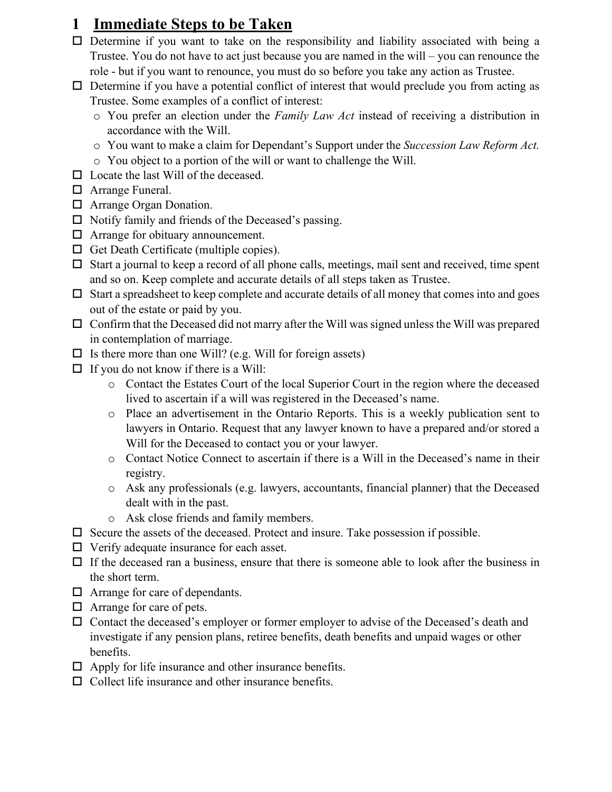### **1 Immediate Steps to be Taken**

- $\square$  Determine if you want to take on the responsibility and liability associated with being a Trustee. You do not have to act just because you are named in the will – you can renounce the role - but if you want to renounce, you must do so before you take any action as Trustee.
- $\Box$  Determine if you have a potential conflict of interest that would preclude you from acting as Trustee. Some examples of a conflict of interest:
	- o You prefer an election under the *Family Law Act* instead of receiving a distribution in accordance with the Will.
	- o You want to make a claim for Dependant's Support under the *Succession Law Reform Act.*
	- o You object to a portion of the will or want to challenge the Will.
- $\Box$  Locate the last Will of the deceased.
- □ Arrange Funeral.
- □ Arrange Organ Donation.
- $\Box$  Notify family and friends of the Deceased's passing.
- $\Box$  Arrange for obituary announcement.
- $\Box$  Get Death Certificate (multiple copies).
- $\Box$  Start a journal to keep a record of all phone calls, meetings, mail sent and received, time spent and so on. Keep complete and accurate details of all steps taken as Trustee.
- $\Box$  Start a spreadsheet to keep complete and accurate details of all money that comes into and goes out of the estate or paid by you.
- $\Box$  Confirm that the Deceased did not marry after the Will was signed unless the Will was prepared in contemplation of marriage.
- $\Box$  Is there more than one Will? (e.g. Will for foreign assets)
- $\Box$  If you do not know if there is a Will:
	- o Contact the Estates Court of the local Superior Court in the region where the deceased lived to ascertain if a will was registered in the Deceased's name.
	- o Place an advertisement in the Ontario Reports. This is a weekly publication sent to lawyers in Ontario. Request that any lawyer known to have a prepared and/or stored a Will for the Deceased to contact you or your lawyer.
	- o Contact Notice Connect to ascertain if there is a Will in the Deceased's name in their registry.
	- o Ask any professionals (e.g. lawyers, accountants, financial planner) that the Deceased dealt with in the past.
	- o Ask close friends and family members.
- $\square$  Secure the assets of the deceased. Protect and insure. Take possession if possible.
- $\Box$  Verify adequate insurance for each asset.
- $\Box$  If the deceased ran a business, ensure that there is someone able to look after the business in the short term.
- □ Arrange for care of dependants.
- □ Arrange for care of pets.
- Contact the deceased's employer or former employer to advise of the Deceased's death and investigate if any pension plans, retiree benefits, death benefits and unpaid wages or other benefits.
- $\Box$  Apply for life insurance and other insurance benefits.
- $\Box$  Collect life insurance and other insurance benefits.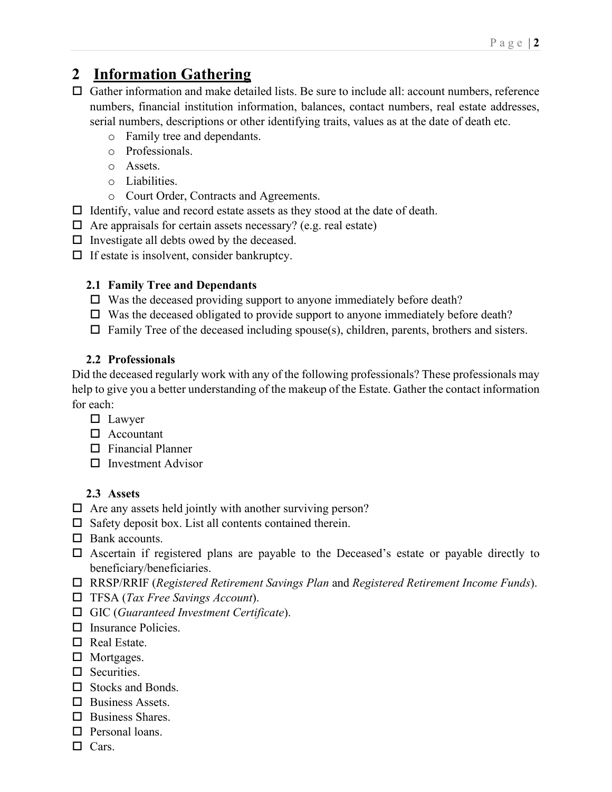## **2 Information Gathering**

- Gather information and make detailed lists. Be sure to include all: account numbers, reference numbers, financial institution information, balances, contact numbers, real estate addresses, serial numbers, descriptions or other identifying traits, values as at the date of death etc.
	- o Family tree and dependants.
	- o Professionals.
	- o Assets.
	- o Liabilities.
	- o Court Order, Contracts and Agreements.
- $\Box$  Identify, value and record estate assets as they stood at the date of death.
- $\Box$  Are appraisals for certain assets necessary? (e.g. real estate)
- $\Box$  Investigate all debts owed by the deceased.
- $\Box$  If estate is insolvent, consider bankruptcy.

#### **2.1 Family Tree and Dependants**

- $\Box$  Was the deceased providing support to anyone immediately before death?
- $\Box$  Was the deceased obligated to provide support to anyone immediately before death?
- $\Box$  Family Tree of the deceased including spouse(s), children, parents, brothers and sisters.

#### **2.2 Professionals**

Did the deceased regularly work with any of the following professionals? These professionals may help to give you a better understanding of the makeup of the Estate. Gather the contact information for each:

- □ Lawyer
- □ Accountant
- $\square$  Financial Planner
- $\square$  Investment Advisor

#### **2.3 Assets**

- $\Box$  Are any assets held jointly with another surviving person?
- $\square$  Safety deposit box. List all contents contained therein.
- □ Bank accounts.
- Ascertain if registered plans are payable to the Deceased's estate or payable directly to beneficiary/beneficiaries.
- RRSP/RRIF (*Registered Retirement Savings Plan* and *Registered Retirement Income Funds*).
- TFSA (*Tax Free Savings Account*).
- GIC (*Guaranteed Investment Certificate*).
- $\square$  Insurance Policies.
- $\Box$  Real Estate.
- □ Mortgages.
- $\square$  Securities.
- $\square$  Stocks and Bonds.
- $\Box$  Business Assets.
- $\Box$  Business Shares.
- □ Personal loans.
- $\Box$  Cars.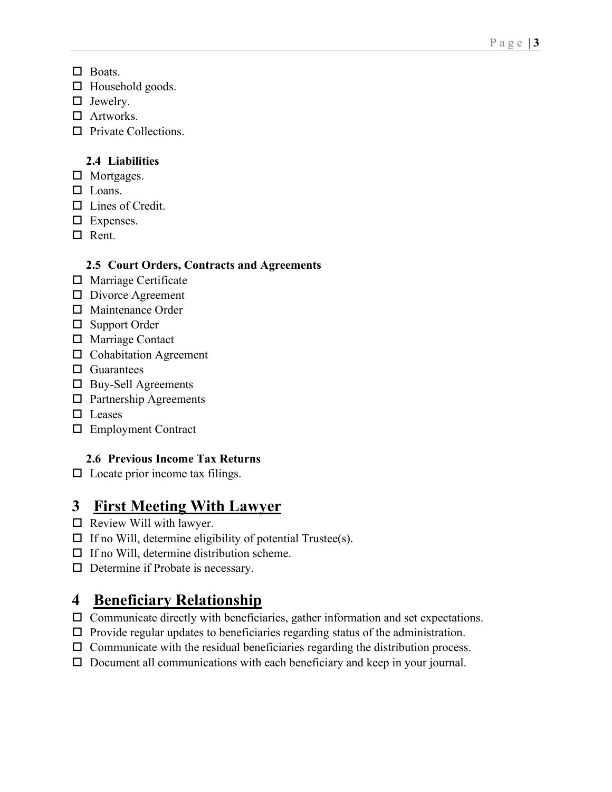- □ Boats.
- $\square$  Household goods.
- □ Jewelry.
- □ Artworks.
- $\Box$  Private Collections.

#### **2.4 Liabilities**

- □ Mortgages.
- □ Loans.
- □ Lines of Credit.
- $\square$  Expenses.
- $\Box$  Rent.

#### **2.5 Court Orders, Contracts and Agreements**

- □ Marriage Certificate
- D Divorce Agreement
- Maintenance Order
- □ Support Order
- Marriage Contact
- □ Cohabitation Agreement
- $\Box$  Guarantees
- Buy-Sell Agreements
- □ Partnership Agreements
- □ Leases
- Employment Contract

### **2.6 Previous Income Tax Returns**

 $\square$  Locate prior income tax filings.

# **3 First Meeting With Lawyer**

- $\Box$  Review Will with lawyer.
- $\Box$  If no Will, determine eligibility of potential Trustee(s).
- $\Box$  If no Will, determine distribution scheme.
- $\Box$  Determine if Probate is necessary.

# **4 Beneficiary Relationship**

- $\Box$  Communicate directly with beneficiaries, gather information and set expectations.
- $\Box$  Provide regular updates to beneficiaries regarding status of the administration.
- $\Box$  Communicate with the residual beneficiaries regarding the distribution process.
- Document all communications with each beneficiary and keep in your journal.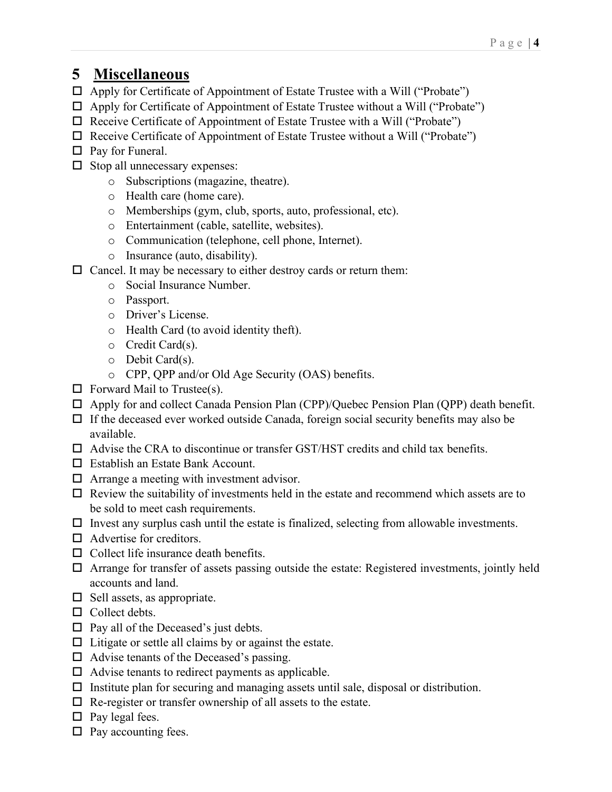# **5 Miscellaneous**

- Apply for Certificate of Appointment of Estate Trustee with a Will ("Probate")
- $\Box$  Apply for Certificate of Appointment of Estate Trustee without a Will ("Probate")
- $\Box$  Receive Certificate of Appointment of Estate Trustee with a Will ("Probate")
- $\Box$  Receive Certificate of Appointment of Estate Trustee without a Will ("Probate")
- $\Box$  Pay for Funeral.
- $\square$  Stop all unnecessary expenses:
	- o Subscriptions (magazine, theatre).
	- o Health care (home care).
	- o Memberships (gym, club, sports, auto, professional, etc).
	- o Entertainment (cable, satellite, websites).
	- o Communication (telephone, cell phone, Internet).
	- o Insurance (auto, disability).
- $\square$  Cancel. It may be necessary to either destroy cards or return them:
	- o Social Insurance Number.
	- o Passport.
	- o Driver's License.
	- o Health Card (to avoid identity theft).
	- o Credit Card(s).
	- o Debit Card(s).
	- o CPP, QPP and/or Old Age Security (OAS) benefits.
- $\Box$  Forward Mail to Trustee(s).
- $\Box$  Apply for and collect Canada Pension Plan (CPP)/Quebec Pension Plan (QPP) death benefit.
- $\Box$  If the deceased ever worked outside Canada, foreign social security benefits may also be available.
- $\Box$  Advise the CRA to discontinue or transfer GST/HST credits and child tax benefits.
- $\Box$  Establish an Estate Bank Account.
- $\Box$  Arrange a meeting with investment advisor.
- $\Box$  Review the suitability of investments held in the estate and recommend which assets are to be sold to meet cash requirements.
- $\Box$  Invest any surplus cash until the estate is finalized, selecting from allowable investments.
- $\Box$  Advertise for creditors.
- $\Box$  Collect life insurance death benefits.
- $\Box$  Arrange for transfer of assets passing outside the estate: Registered investments, jointly held accounts and land.
- $\Box$  Sell assets, as appropriate.
- $\Box$  Collect debts.
- $\square$  Pay all of the Deceased's just debts.
- $\Box$  Litigate or settle all claims by or against the estate.
- $\Box$  Advise tenants of the Deceased's passing.
- $\Box$  Advise tenants to redirect payments as applicable.
- $\Box$  Institute plan for securing and managing assets until sale, disposal or distribution.
- $\Box$  Re-register or transfer ownership of all assets to the estate.
- $\Box$  Pay legal fees.
- $\square$  Pay accounting fees.